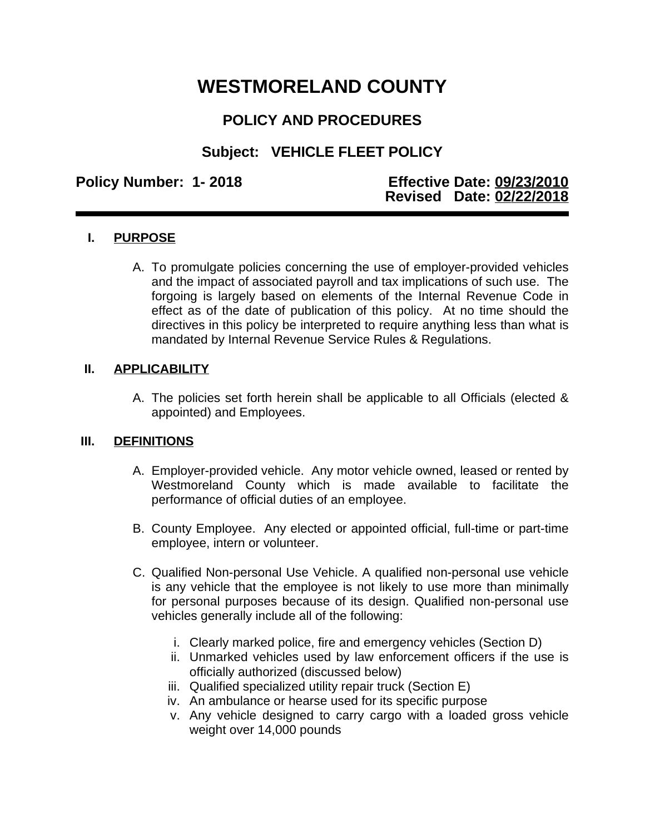# **WESTMORELAND COUNTY**

# **POLICY AND PROCEDURES**

## **Subject: VEHICLE FLEET POLICY**

#### **Policy Number: 1- 2018 Effective Date: 09/23/2010 Revised Date: 02/22/2018**

### **I. PURPOSE**

A. To promulgate policies concerning the use of employer-provided vehicles and the impact of associated payroll and tax implications of such use. The forgoing is largely based on elements of the Internal Revenue Code in effect as of the date of publication of this policy. At no time should the directives in this policy be interpreted to require anything less than what is mandated by Internal Revenue Service Rules & Regulations.

#### **II. APPLICABILITY**

A. The policies set forth herein shall be applicable to all Officials (elected & appointed) and Employees.

#### **III. DEFINITIONS**

- A. Employer-provided vehicle. Any motor vehicle owned, leased or rented by Westmoreland County which is made available to facilitate the performance of official duties of an employee.
- B. County Employee. Any elected or appointed official, full-time or part-time employee, intern or volunteer.
- C. Qualified Non-personal Use Vehicle. A qualified non-personal use vehicle is any vehicle that the employee is not likely to use more than minimally for personal purposes because of its design. Qualified non-personal use vehicles generally include all of the following:
	- i. Clearly marked police, fire and emergency vehicles (Section D)
	- ii. Unmarked vehicles used by law enforcement officers if the use is officially authorized (discussed below)
	- iii. Qualified specialized utility repair truck (Section E)
	- iv. An ambulance or hearse used for its specific purpose
	- v. Any vehicle designed to carry cargo with a loaded gross vehicle weight over 14,000 pounds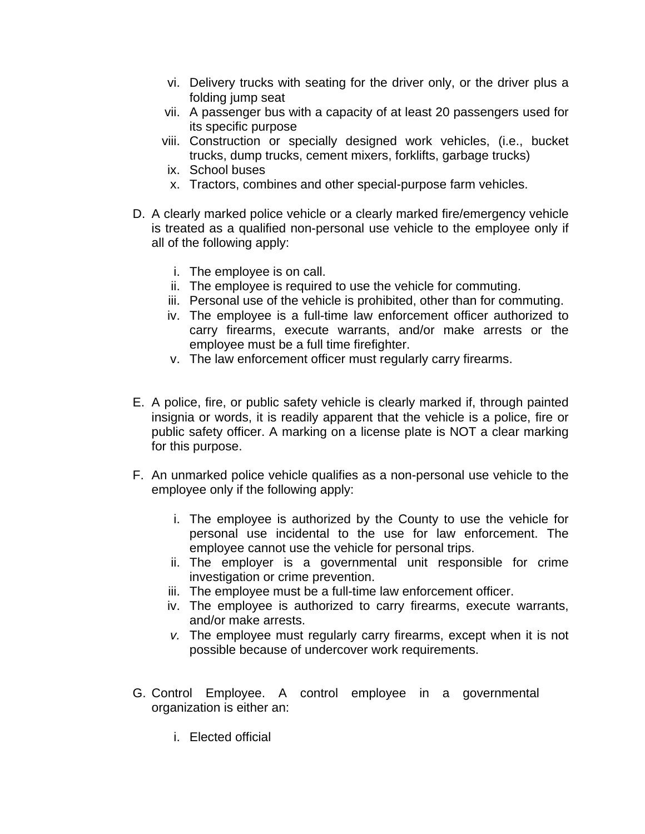- vi. Delivery trucks with seating for the driver only, or the driver plus a folding jump seat
- vii. A passenger bus with a capacity of at least 20 passengers used for its specific purpose
- viii. Construction or specially designed work vehicles, (i.e., bucket trucks, dump trucks, cement mixers, forklifts, garbage trucks)
- ix. School buses
- x. Tractors, combines and other special-purpose farm vehicles.
- D. A clearly marked police vehicle or a clearly marked fire/emergency vehicle is treated as a qualified non-personal use vehicle to the employee only if all of the following apply:
	- i. The employee is on call.
	- ii. The employee is required to use the vehicle for commuting.
	- iii. Personal use of the vehicle is prohibited, other than for commuting.
	- iv. The employee is a full-time law enforcement officer authorized to carry firearms, execute warrants, and/or make arrests or the employee must be a full time firefighter.
	- v. The law enforcement officer must regularly carry firearms.
- E. A police, fire, or public safety vehicle is clearly marked if, through painted insignia or words, it is readily apparent that the vehicle is a police, fire or public safety officer. A marking on a license plate is NOT a clear marking for this purpose.
- F. An unmarked police vehicle qualifies as a non-personal use vehicle to the employee only if the following apply:
	- i. The employee is authorized by the County to use the vehicle for personal use incidental to the use for law enforcement. The employee cannot use the vehicle for personal trips.
	- ii. The employer is a governmental unit responsible for crime investigation or crime prevention.
	- iii. The employee must be a full-time law enforcement officer.
	- iv. The employee is authorized to carry firearms, execute warrants, and/or make arrests.
	- *v.* The employee must regularly carry firearms, except when it is not possible because of undercover work requirements.
- G. Control Employee. A control employee in a governmental organization is either an:
	- i. Elected official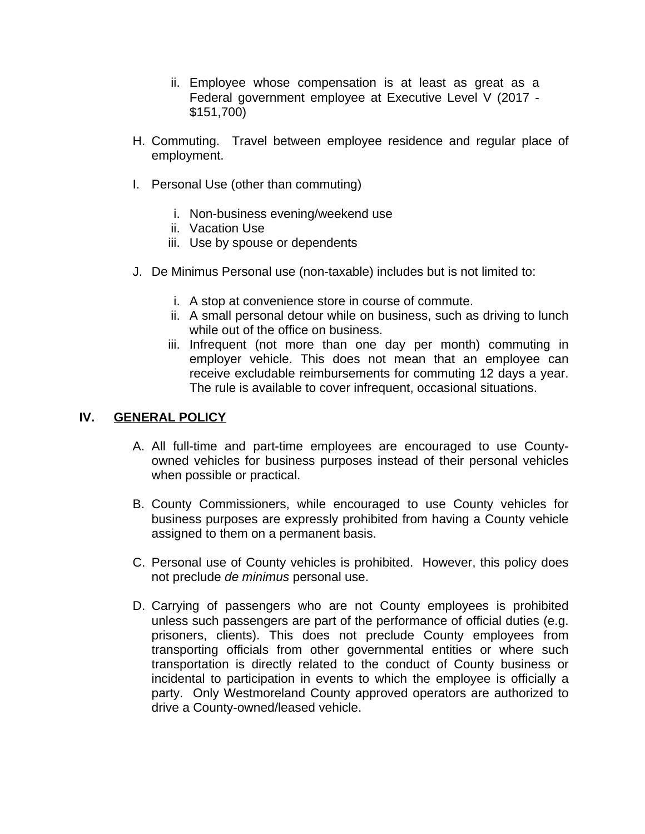- ii. Employee whose compensation is at least as great as a Federal government employee at Executive Level V (2017 - \$151,700)
- H. Commuting. Travel between employee residence and regular place of employment.
- I. Personal Use (other than commuting)
	- i. Non-business evening/weekend use
	- ii. Vacation Use
	- iii. Use by spouse or dependents
- J. De Minimus Personal use (non-taxable) includes but is not limited to:
	- i. A stop at convenience store in course of commute.
	- ii. A small personal detour while on business, such as driving to lunch while out of the office on business.
	- iii. Infrequent (not more than one day per month) commuting in employer vehicle. This does not mean that an employee can receive excludable reimbursements for commuting 12 days a year. The rule is available to cover infrequent, occasional situations.

#### **IV. GENERAL POLICY**

- A. All full-time and part-time employees are encouraged to use Countyowned vehicles for business purposes instead of their personal vehicles when possible or practical.
- B. County Commissioners, while encouraged to use County vehicles for business purposes are expressly prohibited from having a County vehicle assigned to them on a permanent basis.
- C. Personal use of County vehicles is prohibited. However, this policy does not preclude *de minimus* personal use.
- D. Carrying of passengers who are not County employees is prohibited unless such passengers are part of the performance of official duties (e.g. prisoners, clients). This does not preclude County employees from transporting officials from other governmental entities or where such transportation is directly related to the conduct of County business or incidental to participation in events to which the employee is officially a party. Only Westmoreland County approved operators are authorized to drive a County-owned/leased vehicle.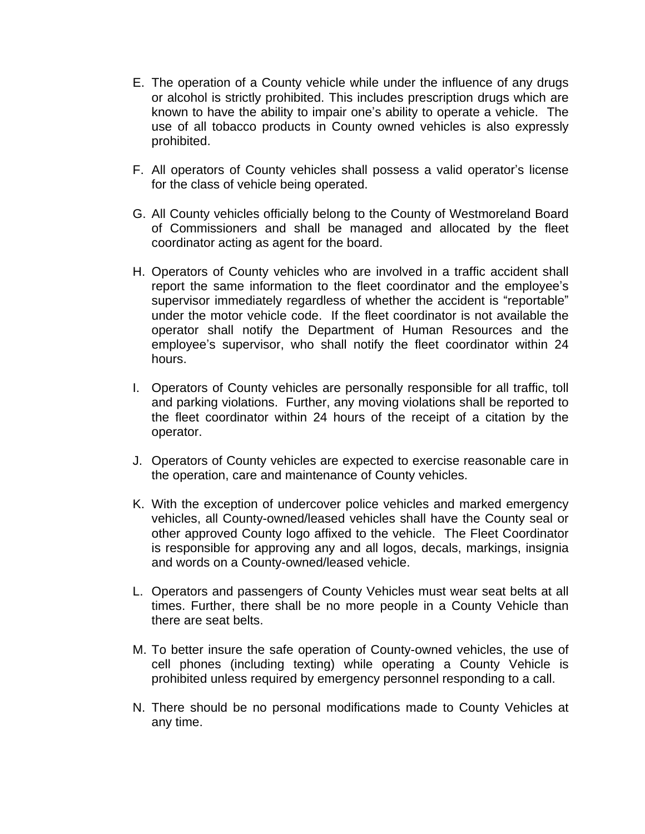- E. The operation of a County vehicle while under the influence of any drugs or alcohol is strictly prohibited. This includes prescription drugs which are known to have the ability to impair one's ability to operate a vehicle. The use of all tobacco products in County owned vehicles is also expressly prohibited.
- F. All operators of County vehicles shall possess a valid operator's license for the class of vehicle being operated.
- G. All County vehicles officially belong to the County of Westmoreland Board of Commissioners and shall be managed and allocated by the fleet coordinator acting as agent for the board.
- H. Operators of County vehicles who are involved in a traffic accident shall report the same information to the fleet coordinator and the employee's supervisor immediately regardless of whether the accident is "reportable" under the motor vehicle code. If the fleet coordinator is not available the operator shall notify the Department of Human Resources and the employee's supervisor, who shall notify the fleet coordinator within 24 hours.
- I. Operators of County vehicles are personally responsible for all traffic, toll and parking violations. Further, any moving violations shall be reported to the fleet coordinator within 24 hours of the receipt of a citation by the operator.
- J. Operators of County vehicles are expected to exercise reasonable care in the operation, care and maintenance of County vehicles.
- K. With the exception of undercover police vehicles and marked emergency vehicles, all County-owned/leased vehicles shall have the County seal or other approved County logo affixed to the vehicle. The Fleet Coordinator is responsible for approving any and all logos, decals, markings, insignia and words on a County-owned/leased vehicle.
- L. Operators and passengers of County Vehicles must wear seat belts at all times. Further, there shall be no more people in a County Vehicle than there are seat belts.
- M. To better insure the safe operation of County-owned vehicles, the use of cell phones (including texting) while operating a County Vehicle is prohibited unless required by emergency personnel responding to a call.
- N. There should be no personal modifications made to County Vehicles at any time.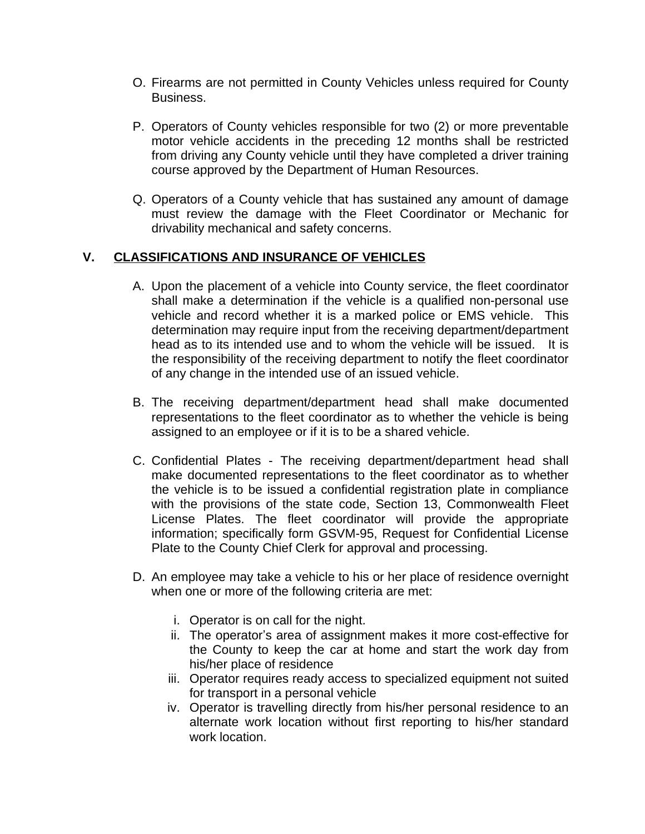- O. Firearms are not permitted in County Vehicles unless required for County Business.
- P. Operators of County vehicles responsible for two (2) or more preventable motor vehicle accidents in the preceding 12 months shall be restricted from driving any County vehicle until they have completed a driver training course approved by the Department of Human Resources.
- Q. Operators of a County vehicle that has sustained any amount of damage must review the damage with the Fleet Coordinator or Mechanic for drivability mechanical and safety concerns.

#### **V. CLASSIFICATIONS AND INSURANCE OF VEHICLES**

- A. Upon the placement of a vehicle into County service, the fleet coordinator shall make a determination if the vehicle is a qualified non-personal use vehicle and record whether it is a marked police or EMS vehicle. This determination may require input from the receiving department/department head as to its intended use and to whom the vehicle will be issued. It is the responsibility of the receiving department to notify the fleet coordinator of any change in the intended use of an issued vehicle.
- B. The receiving department/department head shall make documented representations to the fleet coordinator as to whether the vehicle is being assigned to an employee or if it is to be a shared vehicle.
- C. Confidential Plates The receiving department/department head shall make documented representations to the fleet coordinator as to whether the vehicle is to be issued a confidential registration plate in compliance with the provisions of the state code, Section 13, Commonwealth Fleet License Plates. The fleet coordinator will provide the appropriate information; specifically form GSVM-95, Request for Confidential License Plate to the County Chief Clerk for approval and processing.
- D. An employee may take a vehicle to his or her place of residence overnight when one or more of the following criteria are met:
	- i. Operator is on call for the night.
	- ii. The operator's area of assignment makes it more cost-effective for the County to keep the car at home and start the work day from his/her place of residence
	- iii. Operator requires ready access to specialized equipment not suited for transport in a personal vehicle
	- iv. Operator is travelling directly from his/her personal residence to an alternate work location without first reporting to his/her standard work location.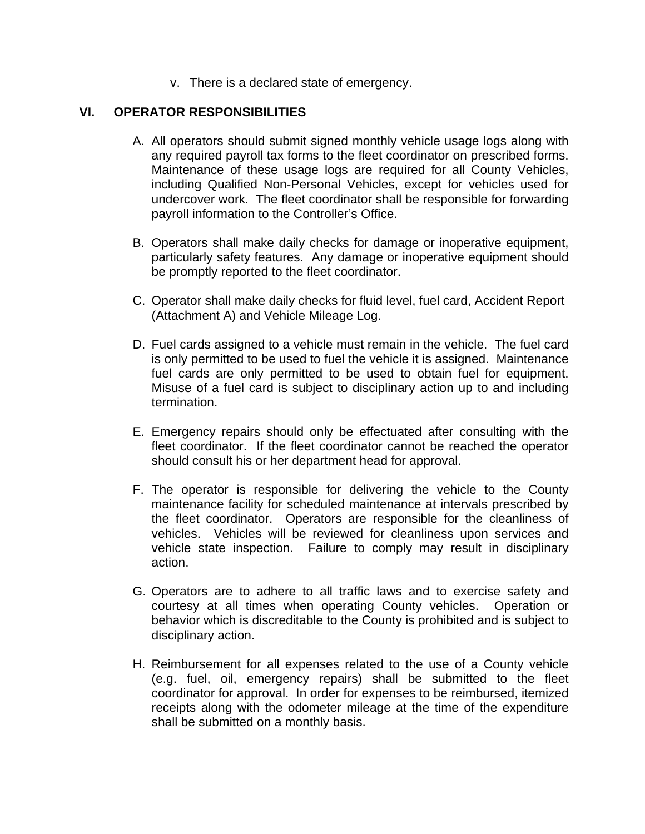v. There is a declared state of emergency.

#### **VI. OPERATOR RESPONSIBILITIES**

- A. All operators should submit signed monthly vehicle usage logs along with any required payroll tax forms to the fleet coordinator on prescribed forms. Maintenance of these usage logs are required for all County Vehicles, including Qualified Non-Personal Vehicles, except for vehicles used for undercover work. The fleet coordinator shall be responsible for forwarding payroll information to the Controller's Office.
- B. Operators shall make daily checks for damage or inoperative equipment, particularly safety features. Any damage or inoperative equipment should be promptly reported to the fleet coordinator.
- C. Operator shall make daily checks for fluid level, fuel card, Accident Report (Attachment A) and Vehicle Mileage Log.
- D. Fuel cards assigned to a vehicle must remain in the vehicle. The fuel card is only permitted to be used to fuel the vehicle it is assigned. Maintenance fuel cards are only permitted to be used to obtain fuel for equipment. Misuse of a fuel card is subject to disciplinary action up to and including termination.
- E. Emergency repairs should only be effectuated after consulting with the fleet coordinator. If the fleet coordinator cannot be reached the operator should consult his or her department head for approval.
- F. The operator is responsible for delivering the vehicle to the County maintenance facility for scheduled maintenance at intervals prescribed by the fleet coordinator. Operators are responsible for the cleanliness of vehicles. Vehicles will be reviewed for cleanliness upon services and vehicle state inspection. Failure to comply may result in disciplinary action.
- G. Operators are to adhere to all traffic laws and to exercise safety and courtesy at all times when operating County vehicles. Operation or behavior which is discreditable to the County is prohibited and is subject to disciplinary action.
- H. Reimbursement for all expenses related to the use of a County vehicle (e.g. fuel, oil, emergency repairs) shall be submitted to the fleet coordinator for approval. In order for expenses to be reimbursed, itemized receipts along with the odometer mileage at the time of the expenditure shall be submitted on a monthly basis.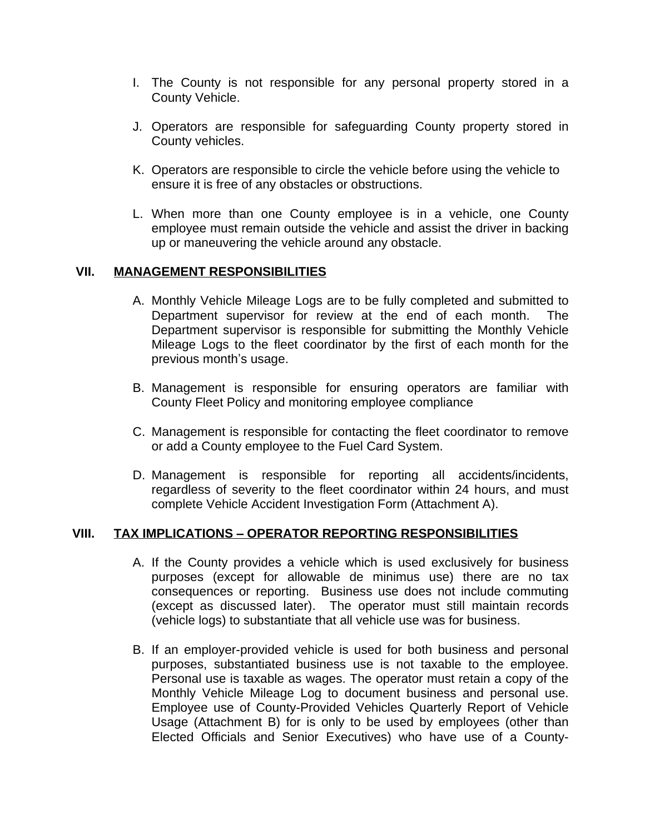- I. The County is not responsible for any personal property stored in a County Vehicle.
- J. Operators are responsible for safeguarding County property stored in County vehicles.
- K. Operators are responsible to circle the vehicle before using the vehicle to ensure it is free of any obstacles or obstructions.
- L. When more than one County employee is in a vehicle, one County employee must remain outside the vehicle and assist the driver in backing up or maneuvering the vehicle around any obstacle.

#### **VII. MANAGEMENT RESPONSIBILITIES**

- A. Monthly Vehicle Mileage Logs are to be fully completed and submitted to Department supervisor for review at the end of each month. The Department supervisor is responsible for submitting the Monthly Vehicle Mileage Logs to the fleet coordinator by the first of each month for the previous month's usage.
- B. Management is responsible for ensuring operators are familiar with County Fleet Policy and monitoring employee compliance
- C. Management is responsible for contacting the fleet coordinator to remove or add a County employee to the Fuel Card System.
- D. Management is responsible for reporting all accidents/incidents, regardless of severity to the fleet coordinator within 24 hours, and must complete Vehicle Accident Investigation Form (Attachment A).

#### **VIII. TAX IMPLICATIONS – OPERATOR REPORTING RESPONSIBILITIES**

- A. If the County provides a vehicle which is used exclusively for business purposes (except for allowable de minimus use) there are no tax consequences or reporting. Business use does not include commuting (except as discussed later). The operator must still maintain records (vehicle logs) to substantiate that all vehicle use was for business.
- B. If an employer-provided vehicle is used for both business and personal purposes, substantiated business use is not taxable to the employee. Personal use is taxable as wages. The operator must retain a copy of the Monthly Vehicle Mileage Log to document business and personal use. Employee use of County-Provided Vehicles Quarterly Report of Vehicle Usage (Attachment B) for is only to be used by employees (other than Elected Officials and Senior Executives) who have use of a County-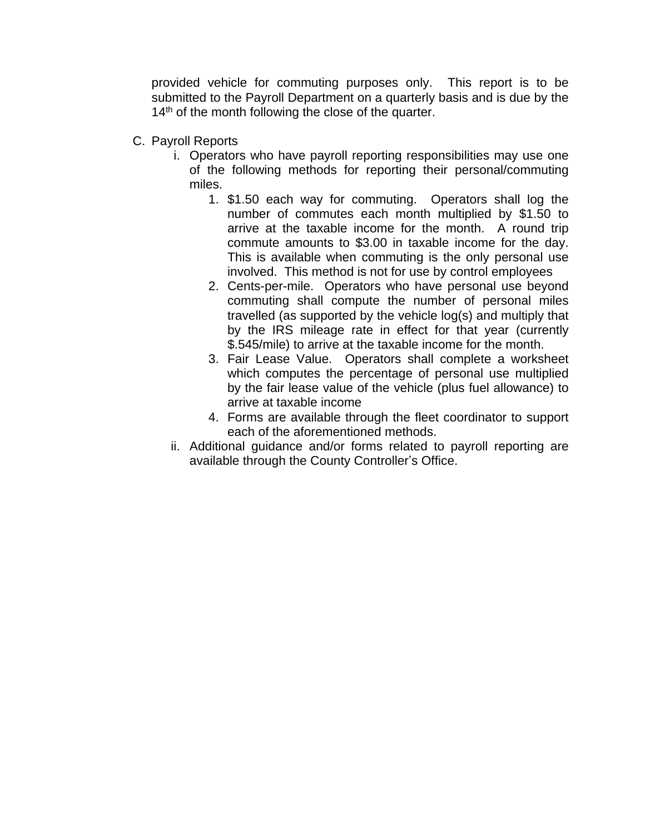provided vehicle for commuting purposes only. This report is to be submitted to the Payroll Department on a quarterly basis and is due by the 14<sup>th</sup> of the month following the close of the quarter.

- C. Payroll Reports
	- i. Operators who have payroll reporting responsibilities may use one of the following methods for reporting their personal/commuting miles.
		- 1. \$1.50 each way for commuting. Operators shall log the number of commutes each month multiplied by \$1.50 to arrive at the taxable income for the month. A round trip commute amounts to \$3.00 in taxable income for the day. This is available when commuting is the only personal use involved. This method is not for use by control employees
		- 2. Cents-per-mile. Operators who have personal use beyond commuting shall compute the number of personal miles travelled (as supported by the vehicle log(s) and multiply that by the IRS mileage rate in effect for that year (currently \$.545/mile) to arrive at the taxable income for the month.
		- 3. Fair Lease Value. Operators shall complete a worksheet which computes the percentage of personal use multiplied by the fair lease value of the vehicle (plus fuel allowance) to arrive at taxable income
		- 4. Forms are available through the fleet coordinator to support each of the aforementioned methods.
	- ii. Additional guidance and/or forms related to payroll reporting are available through the County Controller's Office.